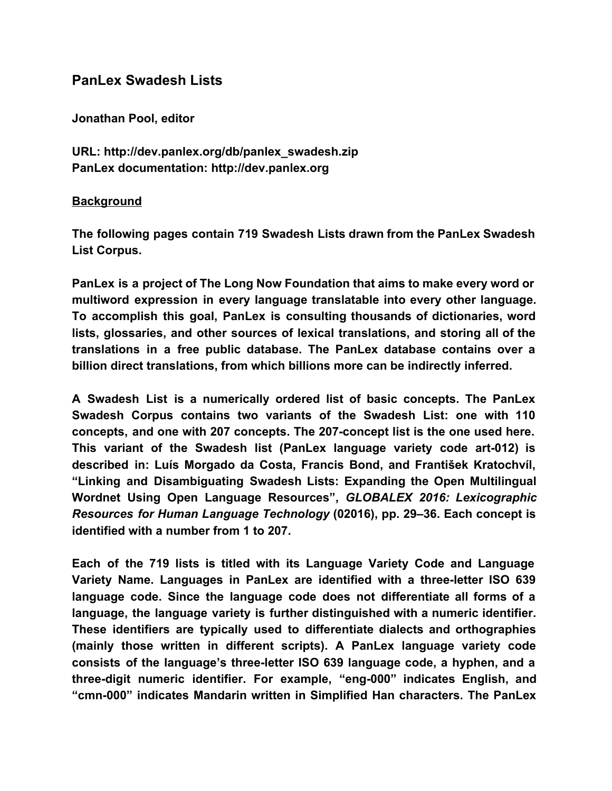# **PanLex Swadesh Lists**

**Jonathan Pool, editor**

**URL: http://dev.panlex.org/db/panlex\_swadesh.zip PanLex documentation: http://dev.panlex.org**

### **Background**

**The following pages contain 719 Swadesh Lists drawn from the PanLex Swadesh List Corpus.**

**PanLex is a project of The Long Now Foundation that aims to make every word or multiword expression in every language translatable into every other language. To accomplish this goal, PanLex is consulting thousands of dictionaries, word lists, glossaries, and other sources of lexical translations, and storing all of the translations in a free public database. The PanLex database contains over a billion direct translations, from which billions more can be indirectly inferred.**

**A Swadesh List is a numerically ordered list of basic concepts. The PanLex Swadesh Corpus contains two variants of the Swadesh List: one with 110 concepts, and one with 207 concepts. The 207-concept list is the one used here. This variant of the Swadesh list (PanLex language variety code art-012) is described in: Luís Morgado da Costa, Francis Bond, and František Kratochvíl, "Linking and Disambiguating Swadesh Lists: Expanding the Open Multilingual Wordnet Using Open Language Resources",** *GLOBALEX 2016: Lexicographic Resources for Human Language Technology* **(02016), pp. 29–36. Each concept is identified with a number from 1 to 207.**

**Each of the 719 lists is titled with its Language Variety Code and Language Variety Name. Languages in PanLex are identified with a three-letter ISO 639 language code. Since the language code does not differentiate all forms of a language, the language variety is further distinguished with a numeric identifier. These identifiers are typically used to differentiate dialects and orthographies (mainly those written in different scripts). A PanLex language variety code consists of the language's three-letter ISO 639 language code, a hyphen, and a three-digit numeric identifier. For example, "eng-000" indicates English, and "cmn-000" indicates Mandarin written in Simplified Han characters. The PanLex**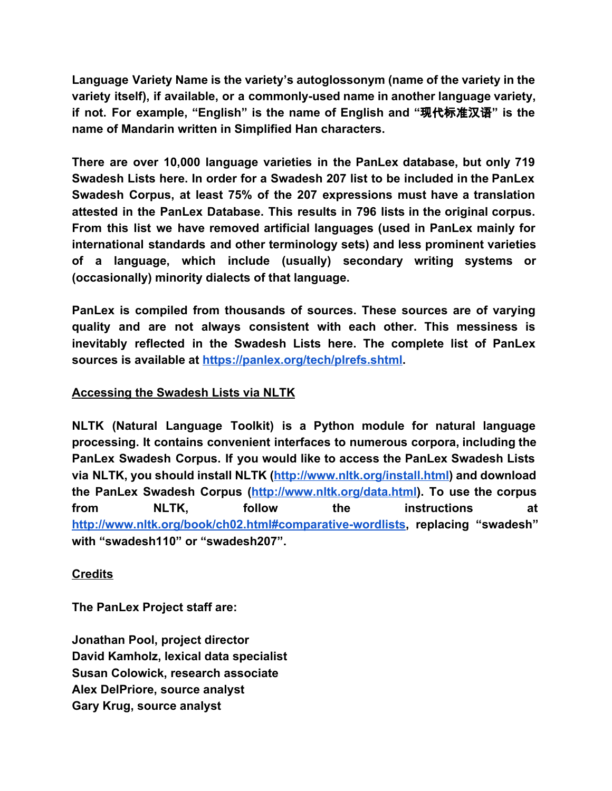**Language Variety Name is the variety's autoglossonym (name of the variety in the variety itself), if available, or a commonly-used name in another language variety, if not. For example, "English" is the name of English and "**现代标准汉语**" is the name of Mandarin written in Simplified Han characters.**

**There are over 10,000 language varieties in the PanLex database, but only 719 Swadesh Lists here. In order for a Swadesh 207 list to be included in the PanLex Swadesh Corpus, at least 75% of the 207 expressions must have a translation attested in the PanLex Database. This results in 796 lists in the original corpus. From this list we have removed artificial languages (used in PanLex mainly for international standards and other terminology sets) and less prominent varieties of a language, which include (usually) secondary writing systems or (occasionally) minority dialects of that language.**

**PanLex is compiled from thousands of sources. These sources are of varying quality and are not always consistent with each other. This messiness is inevitably reflected in the Swadesh Lists here. The complete list of PanLex sources is available a[t](https://panlex.org/tech/plrefs.shtml) <https://panlex.org/tech/plrefs.shtml>.**

## **Accessing the Swadesh Lists via NLTK**

**NLTK (Natural Language Toolkit) is a Python module for natural language processing. It contains convenient interfaces to numerous corpora, including the PanLex Swadesh Corpus. If you would like to access the PanLex Swadesh Lists via NLTK, you should install NLTK (<http://www.nltk.org/install.html>) and download the PanLex Swadesh Corpus (<http://www.nltk.org/data.html>). To use the corpus from NLTK, follow the instructions at <http://www.nltk.org/book/ch02.html#comparative-wordlists>, replacing "swadesh" with "swadesh110" or "swadesh207".**

## **Credits**

**The PanLex Project staff are:**

**Jonathan Pool, project director David Kamholz, lexical data specialist Susan Colowick, research associate Alex DelPriore, source analyst Gary Krug, source analyst**